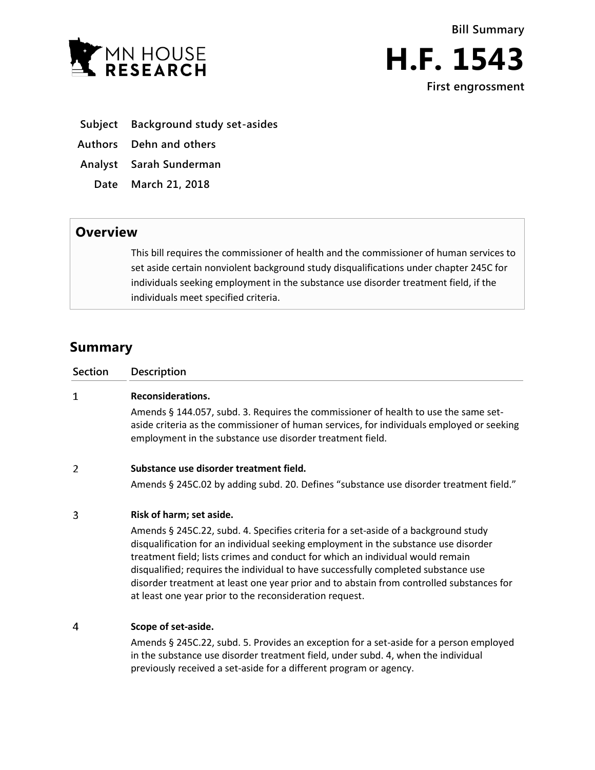



- **Subject Background study set-asides**
- **Authors Dehn and others**
- **Analyst Sarah Sunderman**
- **Date March 21, 2018**

## **Overview**

This bill requires the commissioner of health and the commissioner of human services to set aside certain nonviolent background study disqualifications under chapter 245C for individuals seeking employment in the substance use disorder treatment field, if the individuals meet specified criteria.

## **Summary**

| <b>Section</b> | <b>Description</b>                                                                                                                                                                                                                                                                                                                                                                                                                                                                                        |
|----------------|-----------------------------------------------------------------------------------------------------------------------------------------------------------------------------------------------------------------------------------------------------------------------------------------------------------------------------------------------------------------------------------------------------------------------------------------------------------------------------------------------------------|
| 1              | Reconsiderations.                                                                                                                                                                                                                                                                                                                                                                                                                                                                                         |
|                | Amends § 144.057, subd. 3. Requires the commissioner of health to use the same set-<br>aside criteria as the commissioner of human services, for individuals employed or seeking<br>employment in the substance use disorder treatment field.                                                                                                                                                                                                                                                             |
| 2              | Substance use disorder treatment field.                                                                                                                                                                                                                                                                                                                                                                                                                                                                   |
|                | Amends § 245C.02 by adding subd. 20. Defines "substance use disorder treatment field."                                                                                                                                                                                                                                                                                                                                                                                                                    |
| 3              | Risk of harm; set aside.                                                                                                                                                                                                                                                                                                                                                                                                                                                                                  |
|                | Amends § 245C.22, subd. 4. Specifies criteria for a set-aside of a background study<br>disqualification for an individual seeking employment in the substance use disorder<br>treatment field; lists crimes and conduct for which an individual would remain<br>disqualified; requires the individual to have successfully completed substance use<br>disorder treatment at least one year prior and to abstain from controlled substances for<br>at least one year prior to the reconsideration request. |
| 4              | Scope of set-aside.                                                                                                                                                                                                                                                                                                                                                                                                                                                                                       |
|                | Amends § 245C.22, subd. 5. Provides an exception for a set-aside for a person employed<br>$\frac{1}{2}$ in the substance use disorder treatment field under subd $\Lambda$ when the individual                                                                                                                                                                                                                                                                                                            |

in the substance use disorder treatment field, under subd. 4, when the individual previously received a set-aside for a different program or agency.